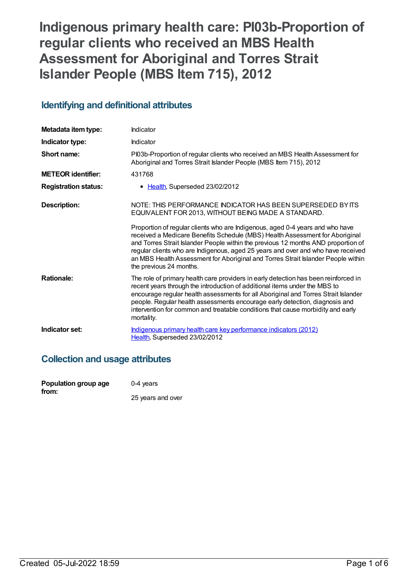# **Indigenous primary health care: PI03b-Proportion of regular clients who received an MBS Health Assessment for Aboriginal and Torres Strait Islander People (MBS Item 715), 2012**

## **Identifying and definitional attributes**

| Metadata item type:         | Indicator                                                                                                                                                                                                                                                                                                                                                                                                                                             |
|-----------------------------|-------------------------------------------------------------------------------------------------------------------------------------------------------------------------------------------------------------------------------------------------------------------------------------------------------------------------------------------------------------------------------------------------------------------------------------------------------|
| Indicator type:             | Indicator                                                                                                                                                                                                                                                                                                                                                                                                                                             |
| Short name:                 | PI03b-Proportion of regular clients who received an MBS Health Assessment for<br>Aboriginal and Torres Strait Islander People (MBS Item 715), 2012                                                                                                                                                                                                                                                                                                    |
| <b>METEOR identifier:</b>   | 431768                                                                                                                                                                                                                                                                                                                                                                                                                                                |
| <b>Registration status:</b> | • Health, Superseded 23/02/2012                                                                                                                                                                                                                                                                                                                                                                                                                       |
| Description:                | NOTE: THIS PERFORMANCE INDICATOR HAS BEEN SUPERSEDED BY ITS<br>EQUIVALENT FOR 2013, WITHOUT BEING MADE A STANDARD.                                                                                                                                                                                                                                                                                                                                    |
|                             | Proportion of regular clients who are Indigenous, aged 0-4 years and who have<br>received a Medicare Benefits Schedule (MBS) Health Assessment for Aboriginal<br>and Torres Strait Islander People within the previous 12 months AND proportion of<br>regular clients who are Indigenous, aged 25 years and over and who have received<br>an MBS Health Assessment for Aboriginal and Torres Strait Islander People within<br>the previous 24 months. |
| <b>Rationale:</b>           | The role of primary health care providers in early detection has been reinforced in<br>recent years through the introduction of additional items under the MBS to<br>encourage regular health assessments for all Aboriginal and Torres Strait Islander<br>people. Regular health assessments encourage early detection, diagnosis and<br>intervention for common and treatable conditions that cause morbidity and early<br>mortality.               |
| Indicator set:              | Indigenous primary health care key performance indicators (2012)<br>Health, Superseded 23/02/2012                                                                                                                                                                                                                                                                                                                                                     |

## **Collection and usage attributes**

| Population group age | $0-4$ years       |
|----------------------|-------------------|
| from:                |                   |
|                      | 25 years and over |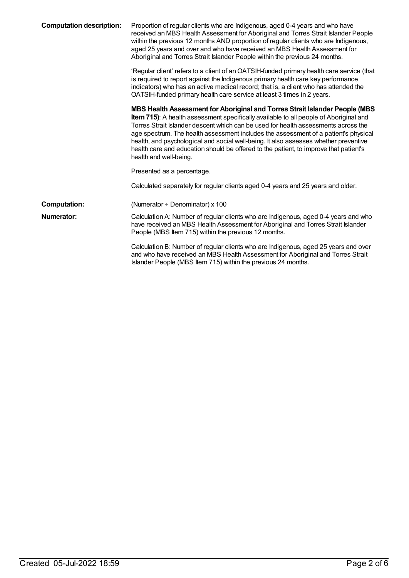| <b>Computation description:</b> | Proportion of regular clients who are Indigenous, aged 0-4 years and who have<br>received an MBS Health Assessment for Aboriginal and Torres Strait Islander People<br>within the previous 12 months AND proportion of regular clients who are Indigenous,<br>aged 25 years and over and who have received an MBS Health Assessment for<br>Aboriginal and Torres Strait Islander People within the previous 24 months.                                                                                                                                                |
|---------------------------------|-----------------------------------------------------------------------------------------------------------------------------------------------------------------------------------------------------------------------------------------------------------------------------------------------------------------------------------------------------------------------------------------------------------------------------------------------------------------------------------------------------------------------------------------------------------------------|
|                                 | 'Regular client' refers to a client of an OATSIH-funded primary health care service (that<br>is required to report against the Indigenous primary health care key performance<br>indicators) who has an active medical record; that is, a client who has attended the<br>OATSIH-funded primary health care service at least 3 times in 2 years.                                                                                                                                                                                                                       |
|                                 | MBS Health Assessment for Aboriginal and Torres Strait Islander People (MBS)<br><b>Item 715)</b> : A health assessment specifically available to all people of Aboriginal and<br>Torres Strait Islander descent which can be used for health assessments across the<br>age spectrum. The health assessment includes the assessment of a patient's physical<br>health, and psychological and social well-being. It also assesses whether preventive<br>health care and education should be offered to the patient, to improve that patient's<br>health and well-being. |
|                                 | Presented as a percentage.                                                                                                                                                                                                                                                                                                                                                                                                                                                                                                                                            |
|                                 | Calculated separately for regular clients aged 0-4 years and 25 years and older.                                                                                                                                                                                                                                                                                                                                                                                                                                                                                      |
| <b>Computation:</b>             | (Numerator $\div$ Denominator) x 100                                                                                                                                                                                                                                                                                                                                                                                                                                                                                                                                  |
| <b>Numerator:</b>               | Calculation A: Number of regular clients who are Indigenous, aged 0-4 years and who<br>have received an MBS Health Assessment for Aboriginal and Torres Strait Islander<br>People (MBS Item 715) within the previous 12 months.                                                                                                                                                                                                                                                                                                                                       |
|                                 | Calculation B: Number of regular clients who are Indigenous, aged 25 years and over<br>and who have received an MBS Health Assessment for Aboriginal and Torres Strait<br>Islander People (MBS Item 715) within the previous 24 months.                                                                                                                                                                                                                                                                                                                               |
|                                 |                                                                                                                                                                                                                                                                                                                                                                                                                                                                                                                                                                       |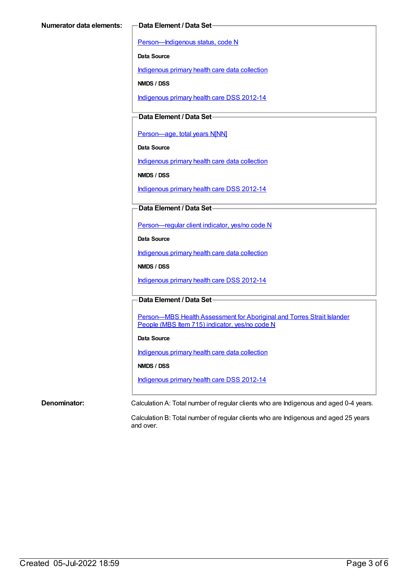[Person—Indigenous](https://meteor.aihw.gov.au/content/291036) status, code N

**Data Source**

[Indigenous](https://meteor.aihw.gov.au/content/430643) primary health care data collection

**NMDS / DSS**

[Indigenous](https://meteor.aihw.gov.au/content/430629) primary health care DSS 2012-14

**Data Element / Data Set**

[Person—age,](https://meteor.aihw.gov.au/content/303794) total years N[NN]

**Data Source**

[Indigenous](https://meteor.aihw.gov.au/content/430643) primary health care data collection

**NMDS / DSS**

[Indigenous](https://meteor.aihw.gov.au/content/430629) primary health care DSS 2012-14

**Data Element / Data Set**

[Person—regular](https://meteor.aihw.gov.au/content/436639) client indicator, yes/no code N

**Data Source**

[Indigenous](https://meteor.aihw.gov.au/content/430643) primary health care data collection

**NMDS / DSS**

[Indigenous](https://meteor.aihw.gov.au/content/430629) primary health care DSS 2012-14

**Data Element / Data Set**

Person-MBS Health Assessment for Aboriginal and Torres Strait Islander People (MBS Item 715) indicator, yes/no code N

#### **Data Source**

[Indigenous](https://meteor.aihw.gov.au/content/430643) primary health care data collection

**NMDS / DSS**

[Indigenous](https://meteor.aihw.gov.au/content/430629) primary health care DSS 2012-14

**Denominator:** Calculation A: Total number of regular clients who are Indigenous and aged 0-4 years.

Calculation B: Total number of regular clients who are Indigenous and aged 25 years and over.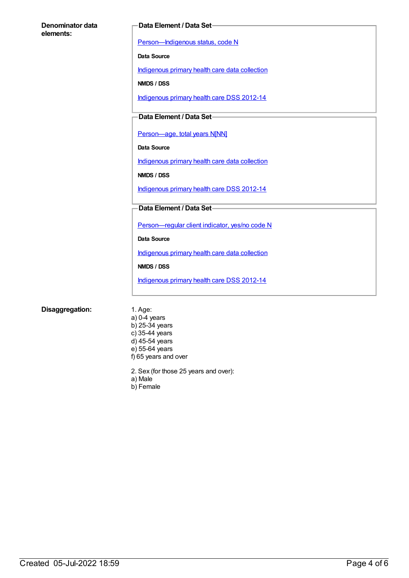#### **Denominator data elements:**

#### **Data Element / Data Set**

[Person—Indigenous](https://meteor.aihw.gov.au/content/291036) status, code N

**Data Source**

[Indigenous](https://meteor.aihw.gov.au/content/430643) primary health care data collection

**NMDS / DSS**

[Indigenous](https://meteor.aihw.gov.au/content/430629) primary health care DSS 2012-14

### **Data Element / Data Set**

[Person—age,](https://meteor.aihw.gov.au/content/303794) total years N[NN]

**Data Source**

[Indigenous](https://meteor.aihw.gov.au/content/430643) primary health care data collection

**NMDS / DSS**

[Indigenous](https://meteor.aihw.gov.au/content/430629) primary health care DSS 2012-14

#### **Data Element / Data Set**

[Person—regular](https://meteor.aihw.gov.au/content/436639) client indicator, yes/no code N

**Data Source**

[Indigenous](https://meteor.aihw.gov.au/content/430643) primary health care data collection

**NMDS / DSS**

[Indigenous](https://meteor.aihw.gov.au/content/430629) primary health care DSS 2012-14

#### **Disaggregation:** 1. Age:

- a) 0-4 years b) 25-34 years c) 35-44 years d) 45-54 years e) 55-64 years f) 65 years and over
- 2. Sex (for those 25 years and over):
- a) Male
- b) Female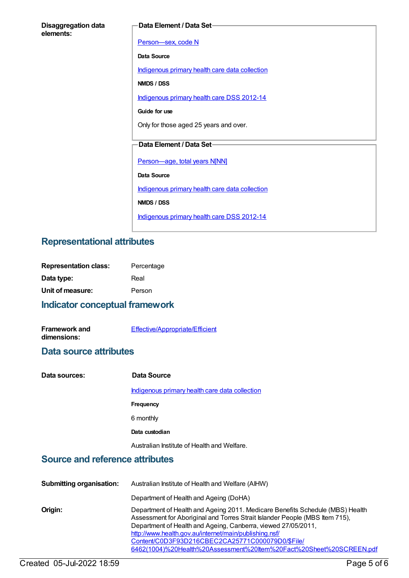| <b>Disaggregation data</b> |  |
|----------------------------|--|
| elements:                  |  |

#### **Data Element / Data Set**

[Person—sex,](https://meteor.aihw.gov.au/content/287316) code N **Data Source** [Indigenous](https://meteor.aihw.gov.au/content/430643) primary health care data collection **NMDS / DSS** [Indigenous](https://meteor.aihw.gov.au/content/430629) primary health care DSS 2012-14 **Guide for use** Only for those aged 25 years and over. **Data Element / Data Set** [Person—age,](https://meteor.aihw.gov.au/content/303794) total years N[NN] **Data Source** [Indigenous](https://meteor.aihw.gov.au/content/430643) primary health care data collection **NMDS / DSS** [Indigenous](https://meteor.aihw.gov.au/content/430629) primary health care DSS 2012-14

## **Representational attributes**

| <b>Representation class:</b> | Percentage |
|------------------------------|------------|
| Data type:                   | Real       |
| Unit of measure:             | Person     |

## **Indicator conceptual framework**

| <b>Framework and</b> | Effective/Appropriate/Efficient |
|----------------------|---------------------------------|
| dimensions:          |                                 |

### **Data source attributes**

| Data sources: | Data Source                                    |
|---------------|------------------------------------------------|
|               | Indigenous primary health care data collection |
|               | Frequency                                      |
|               | 6 monthly                                      |
|               | Data custodian                                 |
|               | Australian Institute of Health and Welfare.    |

## **Source and reference attributes**

| <b>Submitting organisation:</b> | Australian Institute of Health and Welfare (AIHW)                                                                                                                                                                                                                                                                                                                                                                  |
|---------------------------------|--------------------------------------------------------------------------------------------------------------------------------------------------------------------------------------------------------------------------------------------------------------------------------------------------------------------------------------------------------------------------------------------------------------------|
|                                 | Department of Health and Ageing (DoHA)                                                                                                                                                                                                                                                                                                                                                                             |
| Origin:                         | Department of Health and Ageing 2011. Medicare Benefits Schedule (MBS) Health<br>Assessment for Aboriginal and Torres Strait Islander People (MBS Item 715),<br>Department of Health and Ageing, Canberra, viewed 27/05/2011,<br>http://www.health.gov.au/internet/main/publishing.nsf/<br>Content/C0D3F93D216CBEC2CA25771C000079D0/\$File/<br>6462(1004)%20Health%20Assessment%20ttem%20Fact%20Sheet%20SCREEN.pdf |